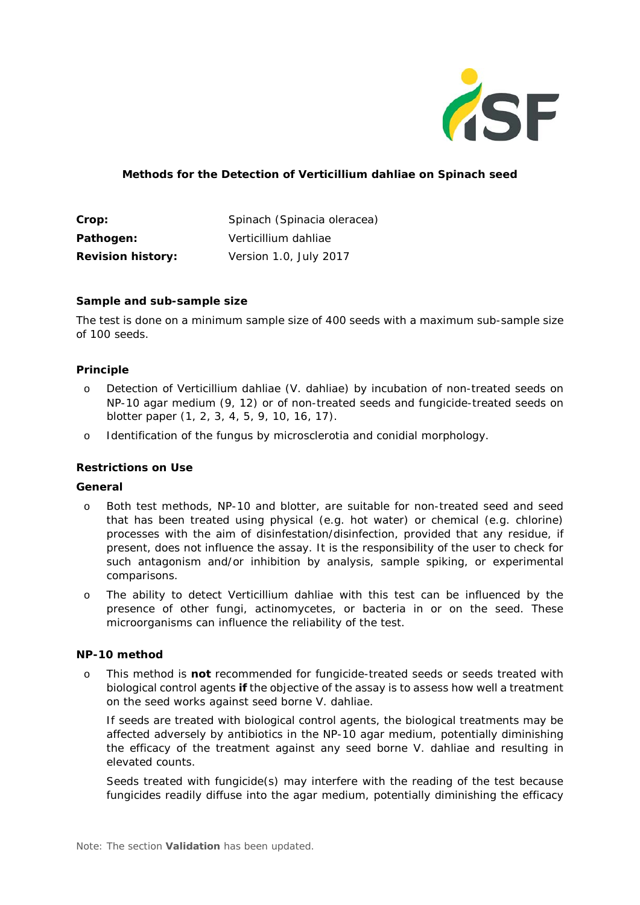

# **Methods for the Detection of** *Verticillium dahliae* **on Spinach seed**

**Crop:** Spinach (*Spinacia oleracea*) **Pathogen:** *Verticillium dahliae* **Revision history:** Version 1.0, July 2017

### **Sample and sub-sample size**

The test is done on a minimum sample size of 400 seeds with a maximum sub-sample size of 100 seeds.

## **Principle**

- o Detection of *Verticillium dahliae* (*V. dahliae*) by incubation of non-treated seeds on NP-10 agar medium (9, 12) or of non-treated seeds and fungicide-treated seeds on blotter paper (1, 2, 3, 4, 5, 9, 10, 16, 17).
- o Identification of the fungus by microsclerotia and conidial morphology.

### **Restrictions on Use**

### **General**

- o Both test methods, NP-10 and blotter, are suitable for non-treated seed and seed that has been treated using physical (e.g. hot water) or chemical (e.g. chlorine) processes with the aim of disinfestation/disinfection, provided that any residue, if present, does not influence the assay. It is the responsibility of the user to check for such antagonism and/or inhibition by analysis, sample spiking, or experimental comparisons.
- o The ability to detect *Verticillium dahliae* with this test can be influenced by the presence of other fungi, actinomycetes, or bacteria in or on the seed. These microorganisms can influence the reliability of the test.

### **NP-10 method**

o This method is **not** recommended for fungicide-treated seeds or seeds treated with biological control agents **if** the objective of the assay is to assess how well a treatment on the seed works against seed borne *V. dahliae*.

If seeds are treated with biological control agents, the biological treatments may be affected adversely by antibiotics in the NP-10 agar medium, potentially diminishing the efficacy of the treatment against any seed borne *V. dahliae* and resulting in elevated counts.

Seeds treated with fungicide(s) may interfere with the reading of the test because fungicides readily diffuse into the agar medium, potentially diminishing the efficacy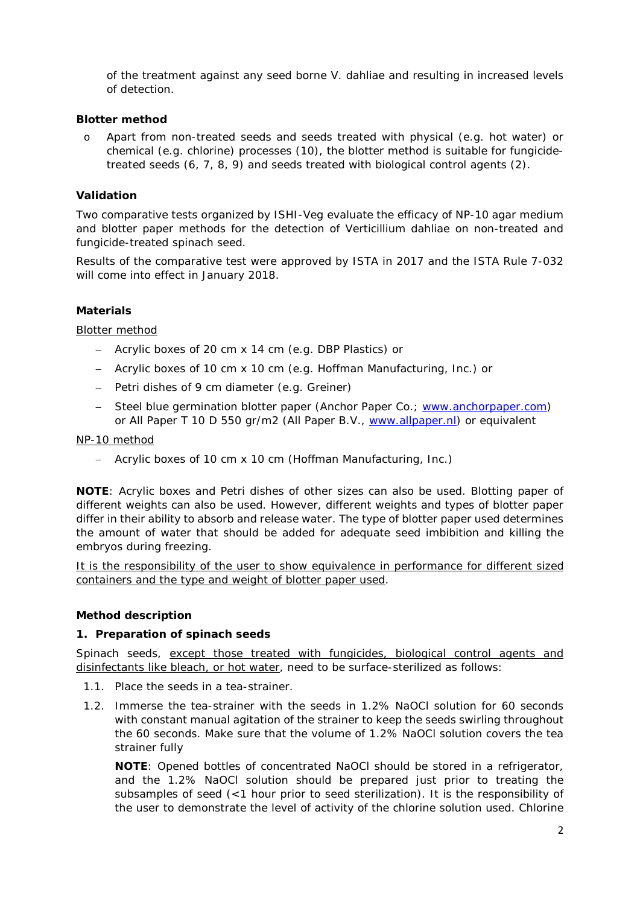of the treatment against any seed borne *V. dahliae* and resulting in increased levels of detection.

### **Blotter method**

o Apart from non-treated seeds and seeds treated with physical (e.g. hot water) or chemical (e.g. chlorine) processes (10), the blotter method is suitable for fungicidetreated seeds (6, 7, 8, 9) and seeds treated with biological control agents (2).

### **Validation**

Two comparative tests organized by ISHI-Veg evaluate the efficacy of NP-10 agar medium and blotter paper methods for the detection of *Verticillium dahliae* on non-treated and fungicide-treated spinach seed.

Results of the comparative test were approved by ISTA in 2017 and the ISTA Rule 7-032 will come into effect in January 2018.

### **Materials**

Blotter method

- − Acrylic boxes of 20 cm x 14 cm (e.g. DBP Plastics) or
- − Acrylic boxes of 10 cm x 10 cm (e.g. Hoffman Manufacturing, Inc.) or
- − Petri dishes of 9 cm diameter (e.g. Greiner)
- − Steel blue germination blotter paper (Anchor Paper Co.; [www.anchorpaper.com\)](http://www.anchorpaper.com/) or All Paper T 10 D 550 gr/m2 (All Paper B.V., [www.allpaper.nl\)](http://www.allpaper.nl/) or equivalent

### NP-10 method

− Acrylic boxes of 10 cm x 10 cm (Hoffman Manufacturing, Inc.)

**NOTE**: Acrylic boxes and Petri dishes of other sizes can also be used. Blotting paper of different weights can also be used. However, different weights and types of blotter paper differ in their ability to absorb and release water. The type of blotter paper used determines the amount of water that should be added for adequate seed imbibition and killing the embryos during freezing.

It is the responsibility of the user to show equivalence in performance for different sized containers and the type and weight of blotter paper used.

### **Method description**

### **1. Preparation of spinach seeds**

Spinach seeds, except those treated with fungicides, biological control agents and disinfectants like bleach, or hot water, need to be surface-sterilized as follows:

- 1.1. Place the seeds in a tea-strainer.
- 1.2. Immerse the tea-strainer with the seeds in 1.2% NaOCl solution for 60 seconds with constant manual agitation of the strainer to keep the seeds swirling throughout the 60 seconds. Make sure that the volume of 1.2% NaOCl solution covers the tea strainer fully

**NOTE**: Opened bottles of concentrated NaOCl should be stored in a refrigerator, and the 1.2% NaOCl solution should be prepared just prior to treating the subsamples of seed (<1 hour prior to seed sterilization). It is the responsibility of the user to demonstrate the level of activity of the chlorine solution used. Chlorine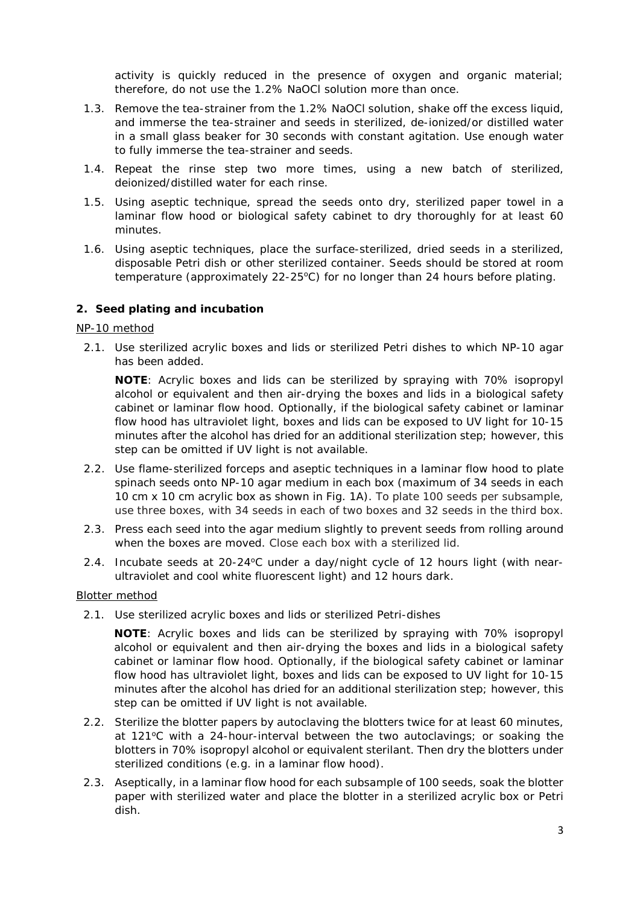activity is quickly reduced in the presence of oxygen and organic material; therefore, do not use the 1.2% NaOCl solution more than once.

- 1.3. Remove the tea-strainer from the 1.2% NaOCl solution, shake off the excess liquid, and immerse the tea-strainer and seeds in sterilized, de-ionized/or distilled water in a small glass beaker for 30 seconds with constant agitation. Use enough water to fully immerse the tea-strainer and seeds.
- 1.4. Repeat the rinse step two more times, using a new batch of sterilized, deionized/distilled water for each rinse.
- 1.5. Using aseptic technique, spread the seeds onto dry, sterilized paper towel in a laminar flow hood or biological safety cabinet to dry thoroughly for at least 60 minutes.
- 1.6. Using aseptic techniques, place the surface-sterilized, dried seeds in a sterilized, disposable Petri dish or other sterilized container. Seeds should be stored at room temperature (approximately 22-25 $\degree$ C) for no longer than 24 hours before plating.

### **2. Seed plating and incubation**

#### NP-10 method

2.1. Use sterilized acrylic boxes and lids or sterilized Petri dishes to which NP-10 agar has been added.

**NOTE**: Acrylic boxes and lids can be sterilized by spraying with 70% isopropyl alcohol or equivalent and then air-drying the boxes and lids in a biological safety cabinet or laminar flow hood. Optionally, if the biological safety cabinet or laminar flow hood has ultraviolet light, boxes and lids can be exposed to UV light for 10-15 minutes after the alcohol has dried for an additional sterilization step; however, this step can be omitted if UV light is not available.

- 2.2. Use flame-sterilized forceps and aseptic techniques in a laminar flow hood to plate spinach seeds onto NP-10 agar medium in each box (maximum of 34 seeds in each 10 cm x 10 cm acrylic box as shown in Fig. 1A). To plate 100 seeds per subsample, use three boxes, with 34 seeds in each of two boxes and 32 seeds in the third box.
- 2.3. Press each seed into the agar medium slightly to prevent seeds from rolling around when the boxes are moved. Close each box with a sterilized lid.
- 2.4. Incubate seeds at  $20-24$ °C under a day/night cycle of 12 hours light (with nearultraviolet and cool white fluorescent light) and 12 hours dark.

### Blotter method

2.1. Use sterilized acrylic boxes and lids or sterilized Petri-dishes

**NOTE**: Acrylic boxes and lids can be sterilized by spraying with 70% isopropyl alcohol or equivalent and then air-drying the boxes and lids in a biological safety cabinet or laminar flow hood. Optionally, if the biological safety cabinet or laminar flow hood has ultraviolet light, boxes and lids can be exposed to UV light for 10-15 minutes after the alcohol has dried for an additional sterilization step; however, this step can be omitted if UV light is not available.

- 2.2. Sterilize the blotter papers by autoclaving the blotters twice for at least 60 minutes, at 121<sup>o</sup>C with a 24-hour-interval between the two autoclavings; or soaking the blotters in 70% isopropyl alcohol or equivalent sterilant. Then dry the blotters under sterilized conditions (e.g. in a laminar flow hood).
- 2.3. Aseptically, in a laminar flow hood for each subsample of 100 seeds, soak the blotter paper with sterilized water and place the blotter in a sterilized acrylic box or Petri dish.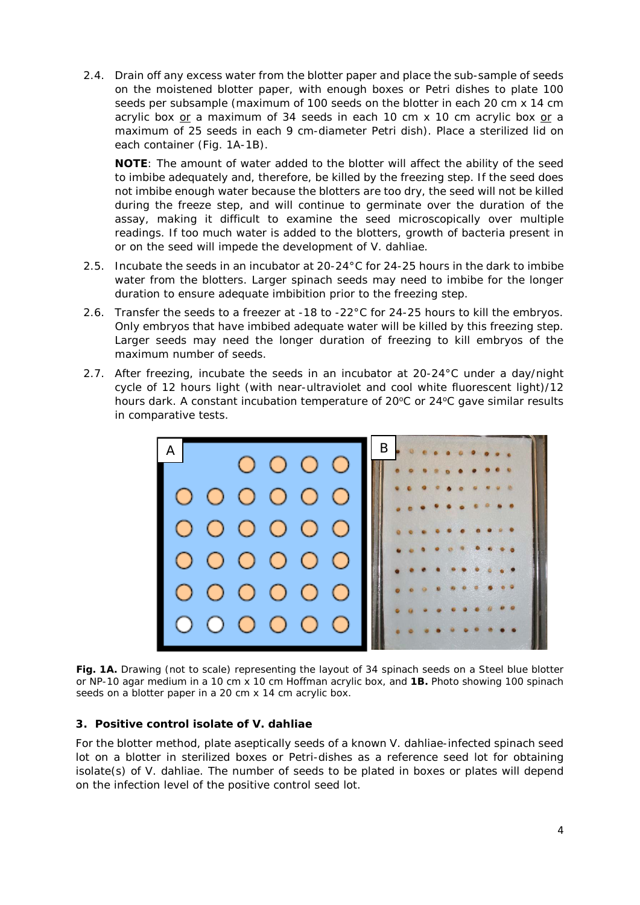2.4. Drain off any excess water from the blotter paper and place the sub-sample of seeds on the moistened blotter paper, with enough boxes or Petri dishes to plate 100 seeds per subsample (maximum of 100 seeds on the blotter in each 20 cm x 14 cm acrylic box or a maximum of 34 seeds in each 10 cm x 10 cm acrylic box or a maximum of 25 seeds in each 9 cm-diameter Petri dish). Place a sterilized lid on each container (Fig. 1A-1B).

**NOTE**: The amount of water added to the blotter will affect the ability of the seed to imbibe adequately and, therefore, be killed by the freezing step. If the seed does not imbibe enough water because the blotters are too dry, the seed will not be killed during the freeze step, and will continue to germinate over the duration of the assay, making it difficult to examine the seed microscopically over multiple readings. If too much water is added to the blotters, growth of bacteria present in or on the seed will impede the development of *V. dahliae*.

- 2.5. Incubate the seeds in an incubator at 20-24°C for 24-25 hours in the dark to imbibe water from the blotters. Larger spinach seeds may need to imbibe for the longer duration to ensure adequate imbibition prior to the freezing step.
- 2.6. Transfer the seeds to a freezer at -18 to -22 $^{\circ}$ C for 24-25 hours to kill the embryos. Only embryos that have imbibed adequate water will be killed by this freezing step. Larger seeds may need the longer duration of freezing to kill embryos of the maximum number of seeds.
- 2.7. After freezing, incubate the seeds in an incubator at 20-24°C under a day/night cycle of 12 hours light (with near-ultraviolet and cool white fluorescent light)/12 hours dark. A constant incubation temperature of  $20^{\circ}$ C or  $24^{\circ}$ C gave similar results in comparative tests.



**Fig. 1A.** Drawing (not to scale) representing the layout of 34 spinach seeds on a Steel blue blotter or NP-10 agar medium in a 10 cm x 10 cm Hoffman acrylic box, and **1B.** Photo showing 100 spinach seeds on a blotter paper in a 20 cm x 14 cm acrylic box.

### **3. Positive control isolate of** *V. dahliae*

For the blotter method, plate aseptically seeds of a known *V. dahliae*-infected spinach seed lot on a blotter in sterilized boxes or Petri-dishes as a reference seed lot for obtaining isolate(s) of *V. dahliae*. The number of seeds to be plated in boxes or plates will depend on the infection level of the positive control seed lot.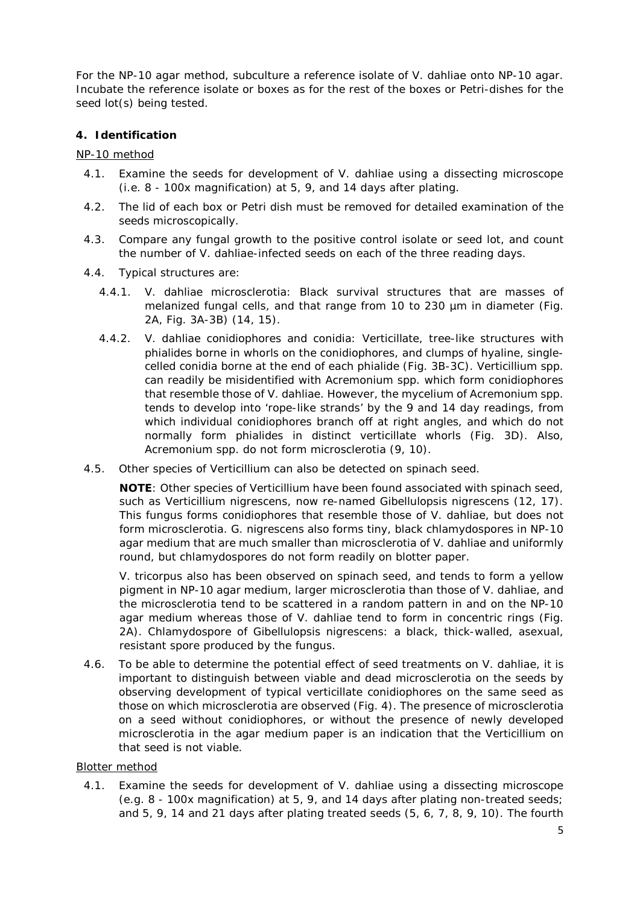For the NP-10 agar method, subculture a reference isolate of *V. dahliae* onto NP-10 agar. Incubate the reference isolate or boxes as for the rest of the boxes or Petri-dishes for the seed lot(s) being tested.

## **4. Identification**

# NP-10 method

- 4.1. Examine the seeds for development of *V. dahliae* using a dissecting microscope (i.e. 8 - 100x magnification) at 5, 9, and 14 days after plating.
- 4.2. The lid of each box or Petri dish must be removed for detailed examination of the seeds microscopically.
- 4.3. Compare any fungal growth to the positive control isolate or seed lot, and count the number of *V. dahliae*-infected seeds on each of the three reading days.
- 4.4. Typical structures are:
	- 4.4.1. *V. dahliae* microsclerotia: Black survival structures that are masses of melanized fungal cells, and that range from 10 to 230 µm in diameter (Fig. 2A, Fig. 3A-3B) (14, 15).
	- 4.4.2. *V. dahliae* conidiophores and conidia: Verticillate, tree-like structures with phialides borne in whorls on the conidiophores, and clumps of hyaline, singlecelled conidia borne at the end of each phialide (Fig. 3B-3C). *Verticillium* spp. can readily be misidentified with *Acremonium* spp. which form conidiophores that resemble those of *V. dahliae*. However, the mycelium of *Acremonium* spp. tends to develop into 'rope-like strands' by the 9 and 14 day readings, from which individual conidiophores branch off at right angles, and which do not normally form phialides in distinct verticillate whorls (Fig. 3D). Also, *Acremonium* spp. do not form microsclerotia (9, 10).
- 4.5. Other species of *Verticillium* can also be detected on spinach seed.

**NOTE**: Other species of *Verticillium* have been found associated with spinach seed, such as *Verticillium nigrescens*, now re-named *Gibellulopsis nigrescens* (12, 17). This fungus forms conidiophores that resemble those of *V. dahliae*, but does not form microsclerotia. *G. nigrescens* also forms tiny, black chlamydospores in NP-10 agar medium that are much smaller than microsclerotia of *V. dahliae* and uniformly round, but chlamydospores do not form readily on blotter paper.

*V. tricorpus* also has been observed on spinach seed, and tends to form a yellow pigment in NP-10 agar medium, larger microsclerotia than those of *V. dahliae*, and the microsclerotia tend to be scattered in a random pattern in and on the NP-10 agar medium whereas those of *V. dahliae* tend to form in concentric rings (Fig. 2A). Chlamydospore of *Gibellulopsis nigrescens*: a black, thick-walled, asexual, resistant spore produced by the fungus.

4.6. To be able to determine the potential effect of seed treatments on *V. dahliae*, it is important to distinguish between viable and dead microsclerotia on the seeds by observing development of typical verticillate conidiophores on the same seed as those on which microsclerotia are observed (Fig. 4). The presence of microsclerotia on a seed without conidiophores, or without the presence of newly developed microsclerotia in the agar medium paper is an indication that the *Verticillium* on that seed is not viable.

## Blotter method

4.1. Examine the seeds for development of *V. dahliae* using a dissecting microscope (e.g. 8 - 100x magnification) at 5, 9, and 14 days after plating non-treated seeds; and 5, 9, 14 and 21 days after plating treated seeds (5, 6, 7, 8, 9, 10). The fourth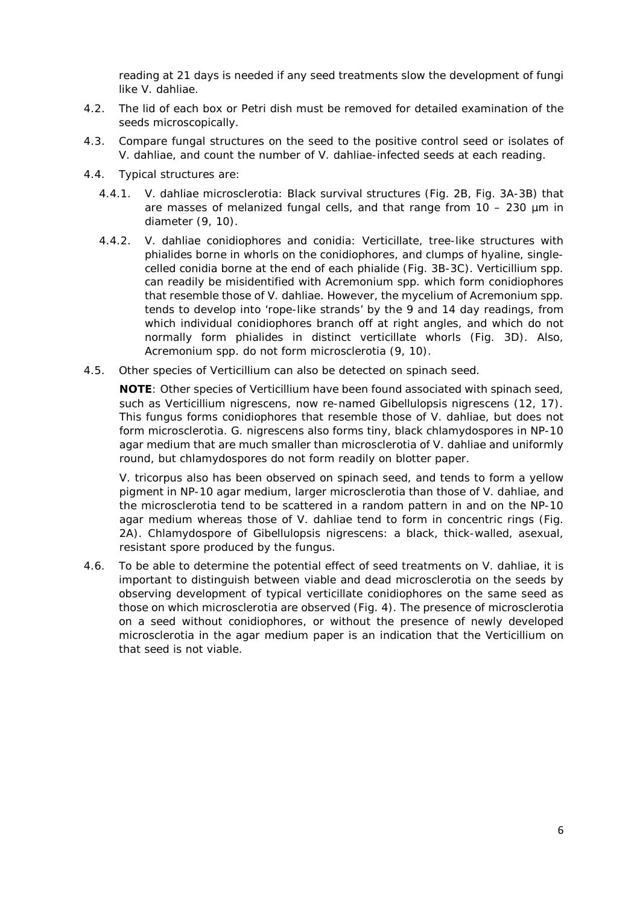reading at 21 days is needed if any seed treatments slow the development of fungi like *V. dahliae*.

- 4.2. The lid of each box or Petri dish must be removed for detailed examination of the seeds microscopically.
- 4.3. Compare fungal structures on the seed to the positive control seed or isolates of *V. dahliae*, and count the number of *V. dahliae*-infected seeds at each reading.
- 4.4. Typical structures are:
	- 4.4.1. *V. dahliae* microsclerotia: Black survival structures (Fig. 2B, Fig. 3A-3B) that are masses of melanized fungal cells, and that range from  $10 - 230$  µm in diameter (9, 10).
	- 4.4.2. *V. dahliae* conidiophores and conidia: Verticillate, tree-like structures with phialides borne in whorls on the conidiophores, and clumps of hyaline, singlecelled conidia borne at the end of each phialide (Fig. 3B-3C). *Verticillium* spp. can readily be misidentified with *Acremonium* spp. which form conidiophores that resemble those of *V. dahliae*. However, the mycelium of *Acremonium* spp. tends to develop into 'rope-like strands' by the 9 and 14 day readings, from which individual conidiophores branch off at right angles, and which do not normally form phialides in distinct verticillate whorls (Fig. 3D). Also, *Acremonium* spp. do not form microsclerotia (9, 10).
- 4.5. Other species of Verticillium can also be detected on spinach seed.

**NOTE**: Other species of *Verticillium* have been found associated with spinach seed, such as *Verticillium nigrescens*, now re-named *Gibellulopsis nigrescens* (12, 17). This fungus forms conidiophores that resemble those of *V. dahliae*, but does not form microsclerotia. *G. nigrescens* also forms tiny, black chlamydospores in NP-10 agar medium that are much smaller than microsclerotia of *V. dahliae* and uniformly round, but chlamydospores do not form readily on blotter paper.

*V. tricorpus* also has been observed on spinach seed, and tends to form a yellow pigment in NP-10 agar medium, larger microsclerotia than those of *V. dahliae*, and the microsclerotia tend to be scattered in a random pattern in and on the NP-10 agar medium whereas those of *V. dahliae* tend to form in concentric rings (Fig. 2A). Chlamydospore of *Gibellulopsis nigrescens*: a black, thick-walled, asexual, resistant spore produced by the fungus.

4.6. To be able to determine the potential effect of seed treatments on *V. dahliae*, it is important to distinguish between viable and dead microsclerotia on the seeds by observing development of typical verticillate conidiophores on the same seed as those on which microsclerotia are observed (Fig. 4). The presence of microsclerotia on a seed without conidiophores, or without the presence of newly developed microsclerotia in the agar medium paper is an indication that the Verticillium on that seed is not viable.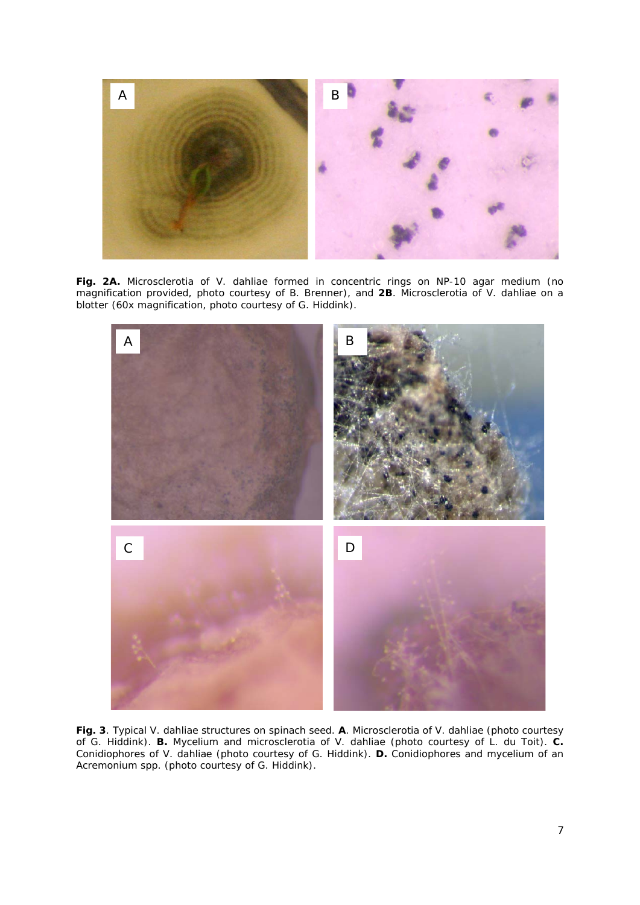

**Fig. 2A.** Microsclerotia of *V. dahliae* formed in concentric rings on NP-10 agar medium (no magnification provided, photo courtesy of B. Brenner), and **2B**. Microsclerotia of *V. dahliae* on a blotter (60x magnification, photo courtesy of G. Hiddink).



**Fig. 3**. Typical *V. dahliae* structures on spinach seed. **A**. Microsclerotia of *V. dahliae* (photo courtesy of G. Hiddink). **B.** Mycelium and microsclerotia of *V. dahliae* (photo courtesy of L. du Toit). **C.** Conidiophores of *V. dahliae* (photo courtesy of G. Hiddink). **D.** Conidiophores and mycelium of an *Acremonium* spp. (photo courtesy of G. Hiddink).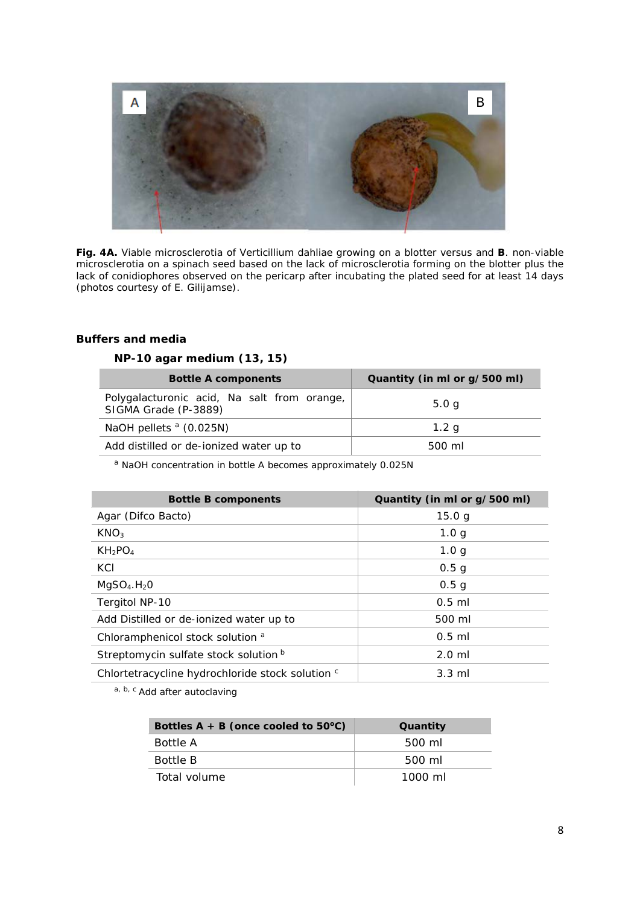

**Fig. 4A.** Viable microsclerotia of *Verticillium dahliae* growing on a blotter versus and **B**. non-viable microsclerotia on a spinach seed based on the lack of microsclerotia forming on the blotter plus the lack of conidiophores observed on the pericarp after incubating the plated seed for at least 14 days (photos courtesy of E. Gilijamse).

### **Buffers and media**

## **NP-10 agar medium (13, 15)**

| <b>Bottle A components</b>                                          | Quantity (in ml or g/500 ml) |
|---------------------------------------------------------------------|------------------------------|
| Polygalacturonic acid, Na salt from orange,<br>SIGMA Grade (P-3889) | 5.0 <sub>q</sub>             |
| NaOH pellets $a(0.025N)$                                            | 1.2 <sub>q</sub>             |
| Add distilled or de-ionized water up to                             | 500 ml                       |

<sup>a</sup> NaOH concentration in bottle A becomes approximately 0.025N

| <b>Bottle B components</b>                                  | Quantity (in ml or g/500 ml) |
|-------------------------------------------------------------|------------------------------|
| Agar (Difco Bacto)                                          | 15.0 g                       |
| KNO <sub>3</sub>                                            | 1.0 <sub>q</sub>             |
| $KH_2PO_4$                                                  | 1.0 <sub>g</sub>             |
| KCI                                                         | 0.5 <sub>g</sub>             |
| MqSO <sub>4</sub> .H <sub>2</sub> O                         | 0.5 <sub>q</sub>             |
| Tergitol NP-10                                              | $0.5$ ml                     |
| Add Distilled or de-ionized water up to                     | 500 ml                       |
| Chloramphenicol stock solution a                            | $0.5$ ml                     |
| Streptomycin sulfate stock solution <sup>b</sup>            | $2.0$ ml                     |
| Chlortetracycline hydrochloride stock solution <sup>c</sup> | $3.3 \text{ ml}$             |

 $\overline{a, b, c}$  Add after autoclaving

| Bottles $A + B$ (once cooled to 50 $\degree$ C) | Quantity          |
|-------------------------------------------------|-------------------|
| Bottle A                                        | 500 ml            |
| <b>Bottle B</b>                                 | 500 ml            |
| Total volume                                    | $1000 \text{ ml}$ |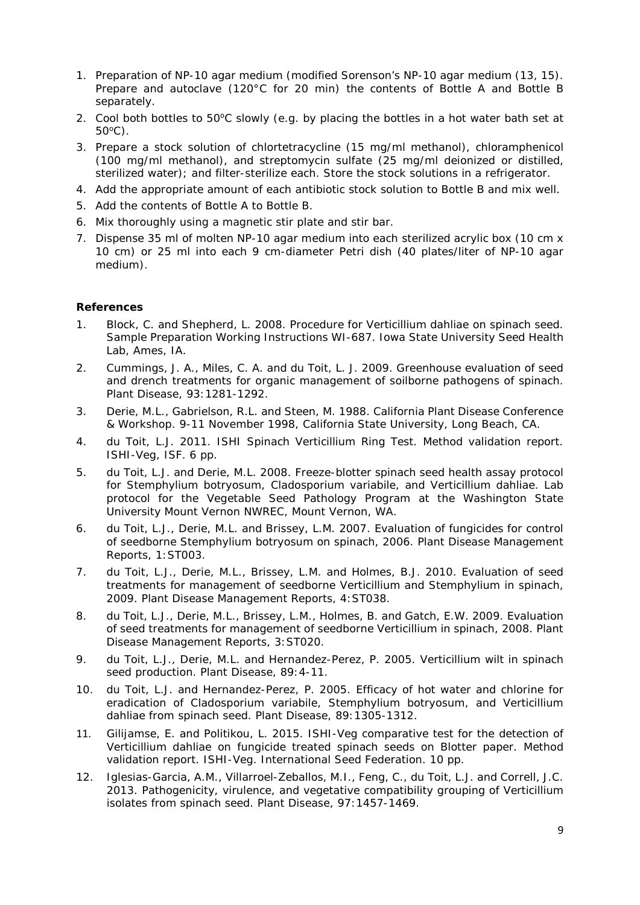- 1. Preparation of NP-10 agar medium (modified Sorenson's NP-10 agar medium (13, 15). Prepare and autoclave (120°C for 20 min) the contents of Bottle A and Bottle B separately.
- 2. Cool both bottles to 50°C slowly (e.g. by placing the bottles in a hot water bath set at  $50^{\circ}$ C).
- 3. Prepare a stock solution of chlortetracycline (15 mg/ml methanol), chloramphenicol (100 mg/ml methanol), and streptomycin sulfate (25 mg/ml deionized or distilled, sterilized water); and filter-sterilize each. Store the stock solutions in a refrigerator.
- 4. Add the appropriate amount of each antibiotic stock solution to Bottle B and mix well.
- 5. Add the contents of Bottle A to Bottle B.
- 6. Mix thoroughly using a magnetic stir plate and stir bar.
- 7. Dispense 35 ml of molten NP-10 agar medium into each sterilized acrylic box (10 cm x 10 cm) or 25 ml into each 9 cm-diameter Petri dish (40 plates/liter of NP-10 agar medium).

### **References**

- 1. Block, C. and Shepherd, L. 2008. Procedure for *Verticillium dahliae* on spinach seed. Sample Preparation Working Instructions WI-687. Iowa State University Seed Health Lab, Ames, IA.
- 2. Cummings, J. A., Miles, C. A. and du Toit, L. J. 2009. Greenhouse evaluation of seed and drench treatments for organic management of soilborne pathogens of spinach. *Plant Disease*, 93:1281-1292.
- 3. Derie, M.L., Gabrielson, R.L. and Steen, M. 1988. California Plant Disease Conference & Workshop. 9-11 November 1998, California State University, Long Beach, CA.
- 4. du Toit, L.J. 2011. ISHI Spinach Verticillium Ring Test. Method validation report. ISHI-Veg, ISF. 6 pp.
- 5. du Toit, L.J. and Derie, M.L. 2008. Freeze-blotter spinach seed health assay protocol for *Stemphylium botryosum*, *Cladosporium variabile*, and *Verticillium dahliae*. Lab protocol for the Vegetable Seed Pathology Program at the Washington State University Mount Vernon NWREC, Mount Vernon, WA.
- 6. du Toit, L.J., Derie, M.L. and Brissey, L.M. 2007. Evaluation of fungicides for control of seedborne *Stemphylium botryosum* on spinach, 2006. *Plant Disease Management Reports*, 1:ST003.
- 7. du Toit, L.J., Derie, M.L., Brissey, L.M. and Holmes, B.J. 2010. Evaluation of seed treatments for management of seedborne *Verticillium* and *Stemphylium* in spinach, 2009. *Plant Disease Management Reports*, 4:ST038*.*
- 8. du Toit, L.J., Derie, M.L., Brissey, L.M., Holmes, B. and Gatch, E.W. 2009. Evaluation of seed treatments for management of seedborne *Verticillium* in spinach, 2008. *Plant Disease Management Reports*, 3:ST020.
- 9. du Toit, L.J., Derie, M.L. and Hernandez-Perez, P. 2005. Verticillium wilt in spinach seed production. *Plant Disease*, 89:4-11.
- 10. du Toit, L.J. and Hernandez-Perez, P. 2005. Efficacy of hot water and chlorine for eradication of *Cladosporium variabile*, *Stemphylium botryosum*, and *Verticillium dahliae* from spinach seed. *Plant Disease,* 89:1305-1312.
- 11. Gilijamse, E. and Politikou, L. 2015. ISHI-Veg comparative test for the detection of *Verticillium dahliae* on fungicide treated spinach seeds on Blotter paper. Method validation report. ISHI-Veg. International Seed Federation. 10 pp.
- 12. Iglesias-Garcia, A.M., Villarroel-Zeballos, M.I., Feng, C., du Toit, L.J. and Correll, J.C. 2013. Pathogenicity, virulence, and vegetative compatibility grouping of *Verticillium*  isolates from spinach seed. *Plant Disease*, 97:1457-1469.